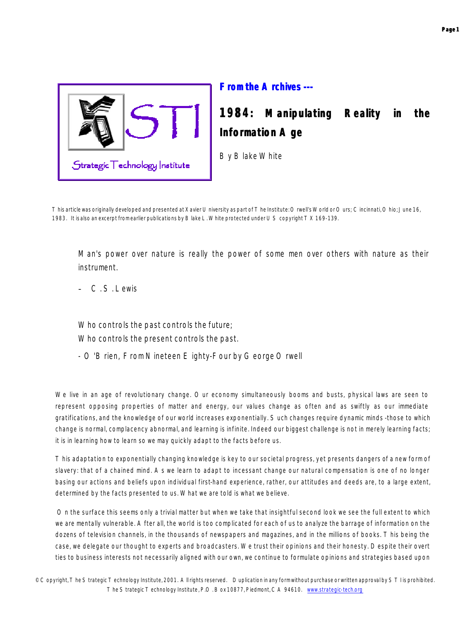

**From the Archives ---**

## **1984: Manipulating Reality in the Information Age**

By Blake White

*This article was originally developed and presented at Xavier University as part of The Institute: Orwell's World or Ours; Cincinnati, Ohio; June 16, 1983. It is also an excerpt from earlier publications by Blake L. White protected under US copyright TX 169-139.*

*Man's power over nature is really the power of some men over others with nature as their instrument.* 

C. S. Lewis

*Who controls the past controls the future; Who controls the present controls the past.*

*- O'Brien,* From *Nineteen Eighty-Four* by George Orwell

We live in an age of revolutionary change. Our economy simultaneously booms and busts, physical laws are seen to represent opposing properties of matter and energy, our values change as often and as swiftly as our immediate gratifications, and the knowledge of our world increases exponentially. Such changes require dynamic minds -those to which change is normal, complacency abnormal, and learning is infinite. Indeed our biggest challenge is not in merely learning facts; it is in learning how to learn so we may quickly adapt to the facts before us.

This adaptation to exponentially changing knowledge is key to our societal progress, yet presents dangers of a new form of slavery: that of a chained mind. As we learn to adapt to incessant change our natural compensation is one of no longer basing our actions and beliefs upon individual first-hand experience, rather, our attitudes and deeds are, to a large extent, determined by the facts presented to us. What we are told is what we believe.

 On the surface this seems only a trivial matter but when we take that insightful second look we see the full extent to which we are mentally vulnerable. After all, the world is too complicated for each of us to analyze the barrage of information on the dozens of television channels, in the thousands of newspapers and magazines, and in the millions of books. This being the case, we delegate our thought to experts and broadcasters. We trust their opinions and their honesty. Despite their overt ties to business interests not necessarily aligned with our own, we continue to formulate opinions and strategies based upon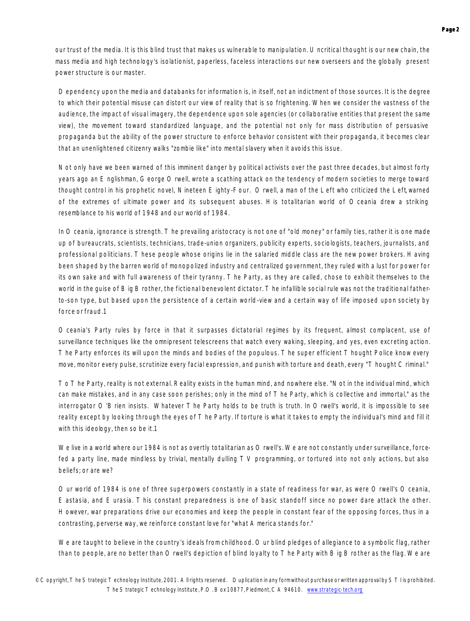our trust of the media. It is this blind trust that makes us vulnerable to manipulation. Uncritical thought is our new chain, the mass media and high technology's isolationist, paperless, faceless interactions our new overseers and the globally present power structure is our master.

Dependency upon the media and databanks for information is, in itself, not an indictment of those sources. It is the degree to which their potential misuse can distort our view of reality that is so frightening. When we consider the vastness of the audience, the impact of visual imagery, the dependence upon sole agencies (or collaborative entities that present the same view), the movement toward standardized language, and the potential not only for mass distribution of persuasive propaganda but the ability of the power structure to enforce behavior consistent with their propaganda, it becomes clear that an unenlightened citizenry walks "zombie like" into mental slavery when it avoids this issue.

Not only have we been warned of this imminent danger by political activists over the past three decades, but almost forty years ago an Englishman, George Orwell, wrote a scathing attack on the tendency of modern societies to merge toward thought control in his prophetic novel, *Nineteen Eighty-Four.* Orwell, a man of the Left who criticized the Left, warned of the extremes of ultimate power and its subsequent abuses. His totalitarian world of Oceania drew a striking resemblance to his world of 1948 and our world of 1984.

In Oceania, ignorance is strength. The prevailing aristocracy is not one of "old money" or family ties, rather it is one made up of bureaucrats, scientists, technicians, trade-union organizers, publicity experts, sociologists, teachers, journalists, and professional politicians. These people whose origins lie in the salaried middle class are the new power brokers. Having been shaped by the barren world of monopolized industry and centralized government, they ruled with a lust for power for its own sake and with full awareness of their tyranny. The Party, as they are called, chose to exhibit themselves to the world in the quise of Big Brother, the fictional benevolent dictator. The infallible social rule was not the traditional fatherto-son type, but based upon the persistence of a certain world-view and a certain way of life imposed upon society by force or fraud.1

Oceania's Party rules by force in that it surpasses dictatorial regimes by its frequent, almost complacent, use of surveillance techniques like the omnipresent telescreens that watch every waking, sleeping, and yes, even excreting action. The Party enforces its will upon the minds and bodies of the populous. The super efficient Thought Police know every move, monitor every pulse, scrutinize every facial expression, and punish with torture and death, every "Thought Criminal."

To The Party, reality is not external. Reality exists in the human mind, and nowhere else. "Not in the individual mind, which can make mistakes, and in any case soon perishes; only in the mind of The Party, which is collective and immortal," as the interrogator O'Brien insists. Whatever The Party holds to be truth is truth. In Orwell's world, it is impossible to see reality except by looking through the eyes of The Party. If torture is what it takes to empty the individual's mind and fill it with this ideology, then so be it.1

We live in a world where our 1984 is not as overtly totalitarian as Orwell's. We are not constantly under surveillance, forcefed a party line, made mindless by trivial, mentally dulling TV programming, or tortured into not only actions, but also beliefs; or are we?

Our world of 1984 is one of three superpowers constantly in a state of readiness for war, as were Orwell's Oceania, Eastasia, and Eurasia. This constant preparedness is one of basic standoff since no power dare attack the other. However, war preparations drive our economies and keep the people in constant fear of the opposing forces, thus in a contrasting, perverse way, we reinforce constant love for "what America stands for."

We are taught to believe in the country's ideals from childhood. Our blind pledges of allegiance to a symbolic flag, rather than to people, are no better than Orwell's depiction of blind loyalty to The Party with Big Brother as the flag. We are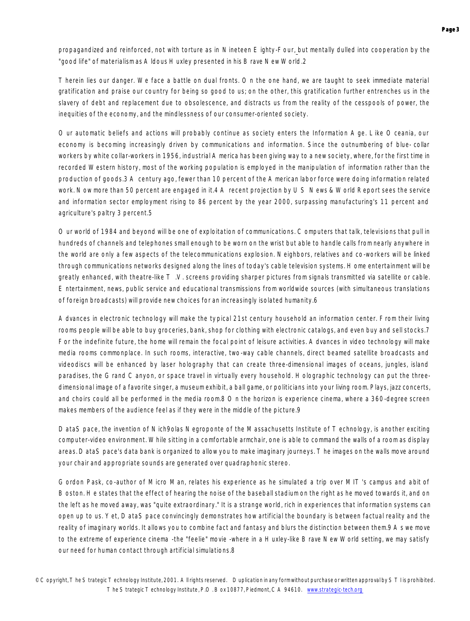propagandized and reinforced, not with torture as in *Nineteen Eighty-Four*, but mentally dulled into cooperation by the "good life" of materialism as Aldous Huxley presented in his *Brave New World*.2

Therein lies our danger. We face a battle on dual fronts. On the one hand, we are taught to seek immediate material gratification and praise our country for being so good to us; on the other, this gratification further entrenches us in the slavery of debt and replacement due to obsolescence, and distracts us from the reality of the cesspools of power, the inequities of the economy, and the mindlessness of our consumer-oriented society.

Our automatic beliefs and actions will probably continue as society enters the Information Age. Like Oceania, our economy is becoming increasingly driven by communications and information. Since the outnumbering of blue- collar workers by white collar-workers in 1956, industrial America has been giving way to a new society, where, for the first time in recorded Western history, most of the working population is employed in the manipulation of information rather than the production of goods.3 A century ago, fewer than 10 percent of the American labor force were doing information related work. Now more than 50 percent are engaged in it.4 A recent projection by US News & World Report sees the service and information sector employment rising to 86 percent by the year 2000, surpassing manufacturing's 11 percent and agriculture's paltry 3 percent.5

Our world of 1984 and beyond will be one of exploitation of communications. Computers that talk, televisions that pull in hundreds of channels and telephones small enough to be worn on the wrist but able to handle calls from nearly anywhere in the world are only a few aspects of the telecommunications explosion. Neighbors, relatives and co-workers will be linked through communications networks designed along the lines of today's cable television systems. Home entertainment will be greatly enhanced, with theatre-like  $T$  .V. screens providing sharper pictures from signals transmitted via satellite or cable. Entertainment, news, public service and educational transmissions from worldwide sources (with simultaneous translations of foreign broadcasts) will provide new choices for an increasingly isolated humanity.6

Advances in electronic technology will make the typical 21st century household an information center. From their living rooms people will be able to buy groceries, bank, shop for clothing with electronic catalogs, and even buy and sell stocks.7 For the indefinite future, the home will remain the focal point of leisure activities. Advances in video technology will make media rooms commonplace. In such rooms, interactive, two-way cable channels, direct beamed satellite broadcasts and videodiscs will be enhanced by laser holography that can create three-dimensional images of oceans, jungles, island paradises, the Grand Canyon, or space travel in virtually every household. Holographic technology can put the threedimensional image of a favorite singer, a museum exhibit, a ball game, or politicians into your living room. Plays, jazz concerts, and choirs could all be performed in the media room.8 On the horizon is experience cinema, where a 360-degree screen makes members of the audience feel as if they were in the middle of the picture.9

*DataSpace*, the invention of Nich9olas Negroponte of the Massachusetts Institute of Technology, is another exciting computer-video environment. While sitting in a comfortable armchair, one is able to command the walls of a room as display areas. *DataSpace's* data bank is organized to allow you to make imaginary journeys. The images on the walls move around your chair and appropriate sounds are generated over quadraphonic stereo.

Gordon Pask, co-author of Micro Man, relates his experience as he simulated a trip over MIT's campus and a bit of Boston. He states that the effect of hearing the noise of the baseball stadium on the right as he moved towards it, and on the left as he moved away, was "quite extraordinary." It is a strange world, rich in experiences that information systems can open up to us. Yet, *DataSpace* convincingly demonstrates how artificial the boundary is between factual reality and the reality of imaginary worlds. It allows you to combine fact and fantasy and blurs the distinction between them.9 As we move to the extreme of experience cinema -the "feelie" movie -where in a Huxley-like Brave New World setting, we may satisfy our need for human contact through artificial simulations.8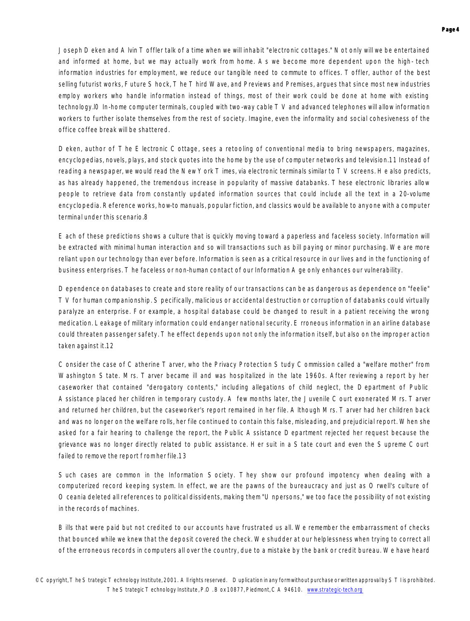Joseph Deken and Alvin Toffler talk of a time when we will inhabit "electronic cottages." Not only will we be entertained and informed at home, but we may actually work from home. As we become more dependent upon the high- tech information industries for employment, we reduce our tangible need to commute to offices. Toffler, author of the best selling futurist works, Future Shock, The Third Wave, and Previews and Premises, argues that since most new industries employ workers who handle information instead of things, most of their work could be done at home with existing technology.l0 In-home computer terminals, coupled with two-way cable TV and advanced telephones will allow information workers to further isolate themselves from the rest of society. Imagine, even the informality and social cohesiveness of the office coffee break will be shattered.

Deken, author of *The Electronic Cottage*, sees a retooling of conventional media to bring newspapers, magazines, encyclopedias, novels, plays, and stock quotes into the home by the use of computer networks and television.11 Instead of reading a newspaper, we would read the New York Times, via electronic terminals similar to TV screens. He also predicts, as has already happened, the tremendous increase in popularity of massive databanks. These electronic libraries allow people to retrieve data from constantly updated information sources that could include all the text in a 20-volume encyclopedia. Reference works, how-to manuals, popular fiction, and classics would be available to anyone with a computer terminal under this scenario.8

Each of these predictions shows a culture that is quickly moving toward a paperless and faceless society. Information will be extracted with minimal human interaction and so will transactions such as bill paying or minor purchasing. We are more reliant upon our technology than ever before. Information is seen as a critical resource in our lives and in the functioning of business enterprises. The faceless or non-human contact of our Information Age only enhances our vulnerability.

Dependence on databases to create and store reality of our transactions can be as dangerous as dependence on "feelie" TV for human companionship. Specifically, malicious or accidental destruction or corruption of databanks could virtually paralyze an enterprise. For example, a hospital database could be changed to result in a patient receiving the wrong medication. Leakage of military information could endanger national security. Erroneous information in an airline database could threaten passenger safety. The effect depends upon not only the information itself, but also on the improper action taken against it.12

Consider the case of Catherine Tarver, who the Privacy Protection Study Commission called a "welfare mother" from Washington State. Mrs. Tarver became ill and was hospitalized in the late 1960s. After reviewing a report by her caseworker that contained "derogatory contents," including allegations of child neglect, the Department of Public Assistance placed her children in temporary custody. A few months later, the Juvenile Court exonerated Mrs. Tarver and returned her children, but the caseworker's report remained in her file. Although Mrs. Tarver had her children back and was no longer on the welfare rolls, her file continued to contain this false, misleading, and prejudicial report. When she asked for a fair hearing to challenge the report, the Public Assistance Department rejected her request because the grievance was no longer directly related to public assistance. Her suit in a State court and even the Supreme Court failed to remove the report from her file.13

Such cases are common in the Information Society. They show our profound impotency when dealing with a computerized record keeping system. In effect, we are the pawns of the bureaucracy and just as Orwell's culture of Oceania deleted all references to political dissidents, making them "Unpersons," we too face the possibility of not existing in the records of machines.

Bills that were paid but not credited to our accounts have frustrated us all. We remember the embarrassment of checks that bounced while we knew that the deposit covered the check. We shudder at our helplessness when trying to correct all of the erroneous records in computers all over the country, due to a mistake by the bank or credit bureau. We have heard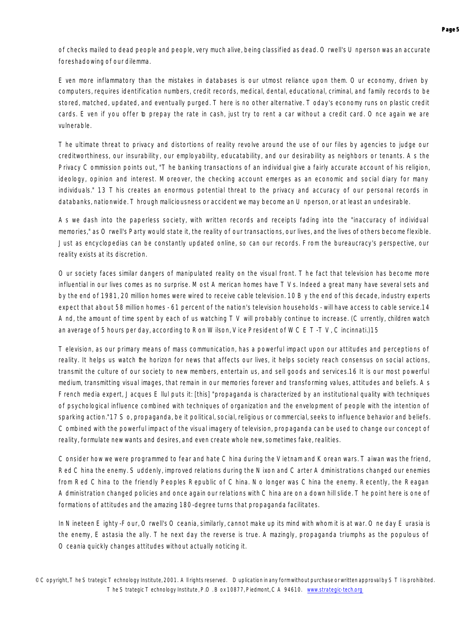of checks mailed to dead people and people, very much alive, being classified as dead. Orwell's Unperson was an accurate foreshadowing of our dilemma.

Even more inflammatory than the mistakes in databases is our utmost reliance upon them. Our economy, driven by computers, requires identification numbers, credit records, medical, dental, educational, criminal, and family records to be stored, matched, updated, and eventually purged. There is no other alternative. Today's economy runs on plastic credit cards. Even if you offer to prepay the rate in cash, just try to rent a car without a credit card. Once again we are vulnerable.

The ultimate threat to privacy and distortions of reality revolve around the use of our files by agencies to judge our creditworthiness, our insurability, our employability, educatability, and our desirability as neighbors or tenants. As the Privacy Commission points out, "The banking transactions of an individual give a fairly accurate account of his religion, ideology, opinion and interest. Moreover, the checking account emerges as an economic and social diary for many individuals." 13 This creates an enormous potential threat to the privacy and accuracy of our personal records in databanks, nationwide. Through maliciousness or accident we may become an Unperson, or at least an undesirable.

As we dash into the paperless society, with written records and receipts fading into the "inaccuracy of individual memories," as Orwell's Party would state it, the reality of our transactions, our lives, and the lives of others become flexible. Just as encyclopedias can be constantly updated online, so can our records. From the bureaucracy's perspective, our reality exists at its discretion.

Our society faces similar dangers of manipulated reality on the visual front. The fact that television has become more influential in our lives comes as no surprise. Most American homes have TVs. Indeed a great many have several sets and by the end of 1981, 20 million homes were wired to receive cable television. 10 By the end of this decade, industry experts expect that about 58 million homes - 61 percent of the nation's television households - will have access to cable service.14 And, the amount of time spent by each of us watching TV will probably continue to increase. (Currently, children watch an average of 5 hours per day, according to Ron Wilson, Vice President of WCET-TV, Cincinnati.)15

Television, as our primary means of mass communication, has a powerful impact upon our attitudes and perceptions of reality. It helps us watch the horizon for news that affects our lives, it helps society reach consensus on social actions, transmit the culture of our society to new members, entertain us, and sell goods and services.16 It is our most powerful medium, transmitting visual images, that remain in our memories forever and transforming values, attitudes and beliefs. As French media expert, Jacques Ellul puts it: [this] "propaganda is characterized by an institutional quality with techniques of psychological influence combined with techniques of organization and the envelopment of people with the intention of sparking action."17 So, propaganda, be it political, social, religious or commercial, seeks to influence behavior and beliefs. Combined with the powerful impact of the visual imagery of television, propaganda can be used to change our concept of reality, formulate new wants and desires, and even create whole new, sometimes fake, realities.

Consider how we were programmed to fear and hate China during the Vietnam and Korean wars. Taiwan was the friend, Red China the enemy. Suddenly, improved relations during the Nixon and Carter Administrations changed our enemies from Red China to the friendly Peoples Republic of China. No longer was China the enemy. Recently, the Reagan Administration changed policies and once again our relations with China are on a down hill slide. The point here is one of formations of attitudes and the amazing 180-degree turns that propaganda facilitates.

In *Nineteen Eighty -Four*, Orwell's Oceania, similarly, cannot make up its mind with whom it is at war. One day Eurasia is the enemy, Eastasia the ally. The next day the reverse is true. Amazingly, propaganda triumphs as the populous of Oceania quickly changes attitudes without actually noticing it.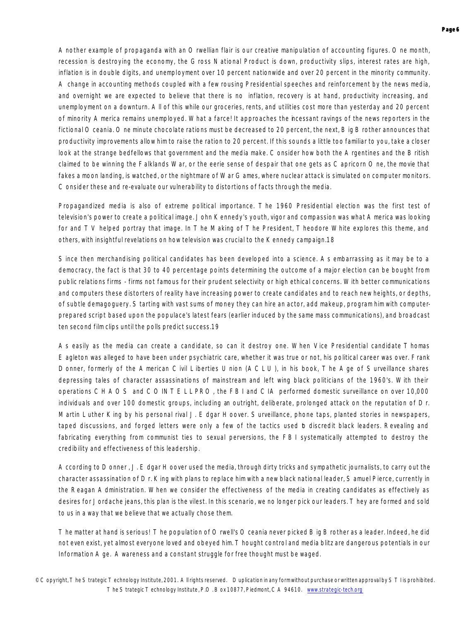Another example of propaganda with an Orwellian flair is our creative manipulation of accounting figures. One month, recession is destroying the economy, the Gross National Product is down, productivity slips, interest rates are high, inflation is in double digits, and unemployment over 10 percent nationwide and over 20 percent in the minority community. A change in accounting methods coupled with a few rousing Presidential speeches and reinforcement by the news media, and overnight we are expected to believe that there is no inflation, recovery is at hand, productivity increasing, and unemployment on a downturn. All of this while our groceries, rents, and utilities cost more than yesterday and 20 percent of minority America remains unemployed. What a farce! It approaches the incessant ravings of the news reporters in the fictional Oceania. One minute chocolate rations must be decreased to 20 percent, the next, Big Brother announces that productivity improvements allow him to raise the ration to 20 percent. If this sounds a little too familiar to you, take a closer look at the strange bedfellows that government and the media make. Consider how both the Argentines and the British claimed to be winning the Falklands War, or the eerie sense of despair that one gets as Capricorn One, the movie that fakes a moon landing, is watched, or the nightmare of War Games, where nuclear attack is simulated on computer monitors. Consider these and re-evaluate our vulnerability to distortions of facts through the media.

Propagandized media is also of extreme political importance. The 1960 Presidential election was the first test of television's power to create a political image. John Kennedy's youth, vigor and compassion was what America was looking for and TV helped portray that image. In The Making of The President, Theodore White explores this theme, and others, with insightful revelations on how television was crucial to the Kennedy campaign.18

Since then merchandising political candidates has been developed into a science. As embarrassing as it may be to a democracy, the fact is that 30 to 40 percentage points determining the outcome of a major election can be bought from public relations firms - firms not famous for their prudent selectivity or high ethical concerns. With better communications and computers these distorters of reality have increasing power to create candidates and to reach new heights, or depths, of subtle demagoguery. Starting with vast sums of money they can hire an actor, add makeup, program him with computerprepared script based upon the populace's latest fears (earlier induced by the same mass communications), and broadcast ten second film clips until the polls predict success.19

As easily as the media can create a candidate, so can it destroy one. When Vice Presidential candidate Thomas Eagleton was alleged to have been under psychiatric care, whether it was true or not, his political career was over. Frank Donner, formerly of the American Civil Liberties Union (ACLU), in his book, The Age of Surveillance shares depressing tales of character assassinations of mainstream and left wing black politicians of the 1960's. With their operations CHAOS and COINTELLPRO, the FBI and CIA performed domestic surveillance on over 10,000 individuals and over 100 domestic groups, including an outright, deliberate, prolonged attack on the reputation of Dr. Martin Luther King by his personal rival J. Edgar Hoover. Surveillance, phone taps, planted stories in newspapers, taped discussions, and forged letters were only a few of the tactics used b discredit black leaders. Revealing and fabricating everything from communist ties to sexual perversions, the FBI systematically attempted to destroy the credibility and effectiveness of this leadership.

According to Donner , J. Edgar Hoover used the media, through dirty tricks and sympathetic journalists, to carry out the character assassination of Dr. King with plans to replace him with a new black national leader, Samuel Pierce, currently in the Reagan Administration. When we consider the effectiveness of the media in creating candidates as effectively as desires for Jordache jeans, this plan is the vilest. In this scenario, we no longer pick our leaders. They are formed and sold to us in a way that we believe that we actually chose them.

The matter at hand is serious! The population of Orwell's Oceania never picked Big Brother as a leader. Indeed, he did not even exist, yet almost everyone loved and obeyed him. Thought control and media blitz are dangerous potentials in our Information Age. Awareness and a constant struggle for free thought must be waged.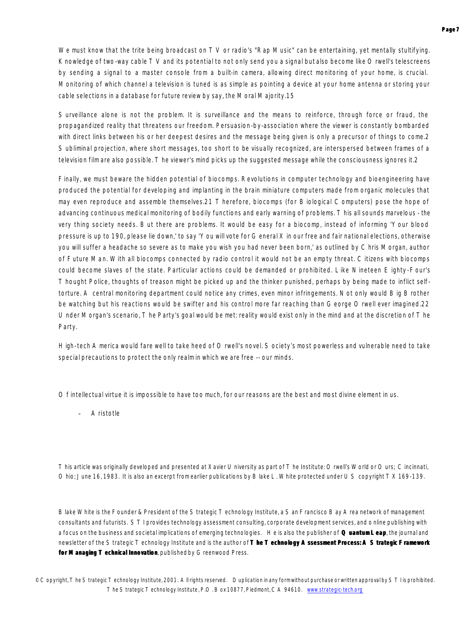We must know that the trite being broadcast on TV or radio's "Rap Music" can be entertaining, yet mentally stultifying. Knowledge of two-way cable TV and its potential to not only send you a signal but also become like Orwell's telescreens by sending a signal to a master console from a built-in camera, allowing direct monitoring of your home, is crucial. Monitoring of which channel a television is tuned is as simple as pointing a device at your home antenna or storing your cable selections in a database for future review by say, the Moral Majority.15

Surveillance alone is not the problem. It is surveillance and the means to reinforce, through force or fraud, the propagandized reality that threatens our freedom. Persuasion-by-association where the viewer is constantly bombarded with direct links between his or her deepest desires and the message being given is only a precursor of things to come.2 Subliminal projection, where short messages, too short to be visually recognized, are interspersed between frames of a television film are also possible. The viewer's mind picks up the suggested message while the consciousness ignores it.2

Finally, we must beware the hidden potential of biocomps. Revolutions in computer technology and bioengineering have produced the potential for developing and implanting in the brain miniature computers made from organic molecules that may even reproduce and assemble themselves.21 Therefore, biocomps (for Biological Computers) pose the hope of advancing continuous medical monitoring of bodily functions and early warning of problems. This all sounds marvelous - the very thing society needs. But there are problems. It would be easy for a biocomp, instead of informing 'Your blood pressure is up to 190, please lie down,' to say 'You will vote for General X in our free and fair national elections, otherwise you will suffer a headache so severe as to make you wish you had never been born,' as outlined by Chris Morgan, author of Future Man. With all biocomps connected by radio control it would not be an empty threat. Citizens with biocomps could become slaves of the state. Particular actions could be demanded or prohibited. Like Nineteen Eighty-Four's Thought Police, thoughts of treason might be picked up and the thinker punished, perhaps by being made to inflict selftorture. A central monitoring department could notice any crimes, even minor infringements. Not only would Big Brother be watching but his reactions would be swifter and his control more far reaching than George Orwell ever imagined.22 Under Morgan's scenario, The Party's goal would be met: reality would exist only in the mind and at the discretion of The Party.

High-tech America would fare well to take heed of Orwell's novel. Society's most powerless and vulnerable need to take special precautions to protect the only realm in which we are free -- our minds.

*Of intellectual virtue it is impossible to have too much, for our reasons are the best and most divine element in us.*

**Aristotle** 

*This article was originally developed and presented at Xavier University as part of The Institute: Orwell's World or Ours; Cincinnati, Ohio; June 16, 1983. It is also an excerpt from earlier publications by Blake L. White protected under US copyright TX 169-139.*

*Blake White is the Founder & President of the Strategic Technology Institute, a San Francisco Bay Area network of management consultants and futurists. STI provides technology assessment consulting, corporate development services, and o nline publishing with a focus on the business and societal implications of emerging technologies. He is also the publisher of Quantum Leap, the journal and newsletter of the Strategic Technology Institute and is the author of The Technology Assessment Process: A Strategic Framework for Managing Technical Innovation*, published *by Greenwood Press.*